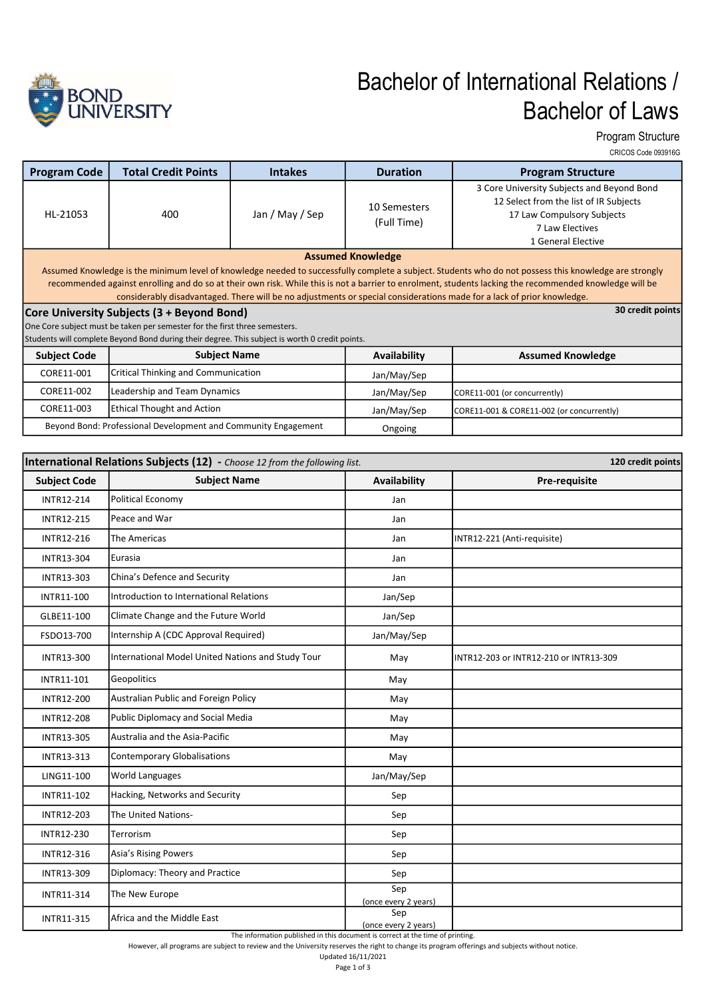

## Bachelor of International Relations / Bachelor of Laws

Program Structure CRICOS Code 093916G

| <b>Program Code</b>                                                                                                                                                                                                                                                                                                                                                                                                                                                                                                                                                                         | <b>Total Credit Points</b>          | <b>Intakes</b>  | <b>Duration</b>             | <b>Program Structure</b>                                                                                                                                    |  |  |  |
|---------------------------------------------------------------------------------------------------------------------------------------------------------------------------------------------------------------------------------------------------------------------------------------------------------------------------------------------------------------------------------------------------------------------------------------------------------------------------------------------------------------------------------------------------------------------------------------------|-------------------------------------|-----------------|-----------------------------|-------------------------------------------------------------------------------------------------------------------------------------------------------------|--|--|--|
| HL-21053                                                                                                                                                                                                                                                                                                                                                                                                                                                                                                                                                                                    | 400                                 | Jan / May / Sep | 10 Semesters<br>(Full Time) | 3 Core University Subjects and Beyond Bond<br>12 Select from the list of IR Subjects<br>17 Law Compulsory Subjects<br>7 Law Electives<br>1 General Elective |  |  |  |
| <b>Assumed Knowledge</b>                                                                                                                                                                                                                                                                                                                                                                                                                                                                                                                                                                    |                                     |                 |                             |                                                                                                                                                             |  |  |  |
| Assumed Knowledge is the minimum level of knowledge needed to successfully complete a subject. Students who do not possess this knowledge are strongly<br>recommended against enrolling and do so at their own risk. While this is not a barrier to enrolment, students lacking the recommended knowledge will be<br>considerably disadvantaged. There will be no adjustments or special considerations made for a lack of prior knowledge.<br>30 credit points<br>Core University Subjects (3 + Beyond Bond)<br>One Core subject must be taken per semester for the first three semesters. |                                     |                 |                             |                                                                                                                                                             |  |  |  |
| Students will complete Beyond Bond during their degree. This subject is worth 0 credit points.                                                                                                                                                                                                                                                                                                                                                                                                                                                                                              |                                     |                 |                             |                                                                                                                                                             |  |  |  |
| <b>Subject Code</b>                                                                                                                                                                                                                                                                                                                                                                                                                                                                                                                                                                         | <b>Subject Name</b>                 |                 | Availability                | <b>Assumed Knowledge</b>                                                                                                                                    |  |  |  |
| CORE11-001                                                                                                                                                                                                                                                                                                                                                                                                                                                                                                                                                                                  | Critical Thinking and Communication |                 | Jan/May/Sep                 |                                                                                                                                                             |  |  |  |
| CORE11-002                                                                                                                                                                                                                                                                                                                                                                                                                                                                                                                                                                                  | Leadership and Team Dynamics        |                 | Jan/May/Sep                 | CORE11-001 (or concurrently)                                                                                                                                |  |  |  |
| CORE11-003                                                                                                                                                                                                                                                                                                                                                                                                                                                                                                                                                                                  | <b>Ethical Thought and Action</b>   |                 | Jan/May/Sep                 | CORE11-001 & CORE11-002 (or concurrently)                                                                                                                   |  |  |  |
| Beyond Bond: Professional Development and Community Engagement                                                                                                                                                                                                                                                                                                                                                                                                                                                                                                                              |                                     |                 | Ongoing                     |                                                                                                                                                             |  |  |  |

| International Relations Subjects (12) - Choose 12 from the following list.<br>120 credit points |                                                   |                             |                                        |  |  |  |
|-------------------------------------------------------------------------------------------------|---------------------------------------------------|-----------------------------|----------------------------------------|--|--|--|
| <b>Subject Code</b>                                                                             | <b>Subject Name</b>                               | Availability                | Pre-requisite                          |  |  |  |
| <b>INTR12-214</b>                                                                               | Political Economy                                 | Jan                         |                                        |  |  |  |
| <b>INTR12-215</b>                                                                               | Peace and War                                     | Jan                         |                                        |  |  |  |
| INTR12-216                                                                                      | <b>The Americas</b>                               | Jan                         | INTR12-221 (Anti-requisite)            |  |  |  |
| <b>INTR13-304</b>                                                                               | Eurasia                                           | Jan                         |                                        |  |  |  |
| INTR13-303                                                                                      | China's Defence and Security                      | Jan                         |                                        |  |  |  |
| INTR11-100                                                                                      | Introduction to International Relations           | Jan/Sep                     |                                        |  |  |  |
| GLBE11-100                                                                                      | Climate Change and the Future World               | Jan/Sep                     |                                        |  |  |  |
| FSDO13-700                                                                                      | Internship A (CDC Approval Required)              | Jan/May/Sep                 |                                        |  |  |  |
| INTR13-300                                                                                      | International Model United Nations and Study Tour | May                         | INTR12-203 or INTR12-210 or INTR13-309 |  |  |  |
| INTR11-101                                                                                      | Geopolitics                                       | May                         |                                        |  |  |  |
| INTR12-200                                                                                      | Australian Public and Foreign Policy              | May                         |                                        |  |  |  |
| <b>INTR12-208</b>                                                                               | Public Diplomacy and Social Media                 | May                         |                                        |  |  |  |
| <b>INTR13-305</b>                                                                               | Australia and the Asia-Pacific                    | May                         |                                        |  |  |  |
| INTR13-313                                                                                      | <b>Contemporary Globalisations</b>                | May                         |                                        |  |  |  |
| LING11-100                                                                                      | <b>World Languages</b>                            | Jan/May/Sep                 |                                        |  |  |  |
| INTR11-102                                                                                      | Hacking, Networks and Security                    | Sep                         |                                        |  |  |  |
| INTR12-203                                                                                      | The United Nations-                               | Sep                         |                                        |  |  |  |
| INTR12-230                                                                                      | Terrorism                                         | Sep                         |                                        |  |  |  |
| INTR12-316                                                                                      | Asia's Rising Powers                              | Sep                         |                                        |  |  |  |
| INTR13-309                                                                                      | Diplomacy: Theory and Practice                    | Sep                         |                                        |  |  |  |
| INTR11-314                                                                                      | The New Europe                                    | Sep<br>(once every 2 years) |                                        |  |  |  |
| INTR11-315                                                                                      | Africa and the Middle East                        | Sep<br>(once every 2 years) |                                        |  |  |  |

The information published in this document is correct at the time of printing.

However, all programs are subject to review and the University reserves the right to change its program offerings and subjects without notice. Updated 16/11/2021

Page 1 of 3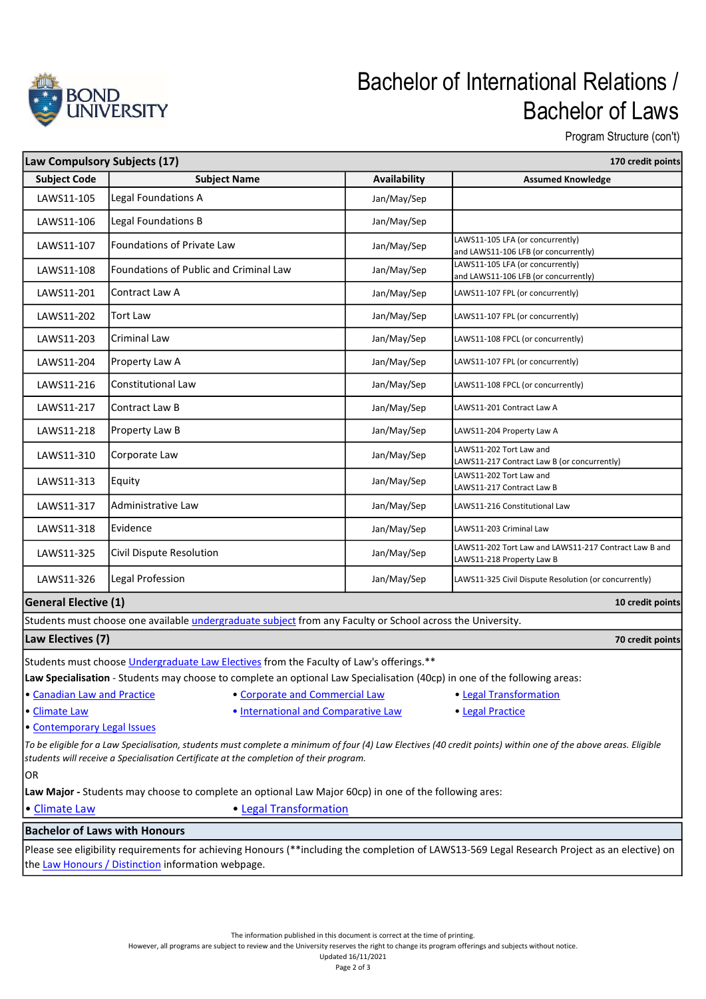

## Bachelor of International Relations / Bachelor of Laws

Program Structure (con't)

| Law Compulsory Subjects (17)<br>170 credit points                                                                                                                                                                                                        |                                                                                                                   |              |                                                                                    |  |  |  |
|----------------------------------------------------------------------------------------------------------------------------------------------------------------------------------------------------------------------------------------------------------|-------------------------------------------------------------------------------------------------------------------|--------------|------------------------------------------------------------------------------------|--|--|--|
| <b>Subject Code</b>                                                                                                                                                                                                                                      | <b>Subject Name</b>                                                                                               | Availability | <b>Assumed Knowledge</b>                                                           |  |  |  |
| LAWS11-105                                                                                                                                                                                                                                               | Legal Foundations A                                                                                               | Jan/May/Sep  |                                                                                    |  |  |  |
| LAWS11-106                                                                                                                                                                                                                                               | Legal Foundations B                                                                                               | Jan/May/Sep  |                                                                                    |  |  |  |
| LAWS11-107                                                                                                                                                                                                                                               | Foundations of Private Law                                                                                        | Jan/May/Sep  | LAWS11-105 LFA (or concurrently)<br>and LAWS11-106 LFB (or concurrently)           |  |  |  |
| LAWS11-108                                                                                                                                                                                                                                               | Foundations of Public and Criminal Law                                                                            | Jan/May/Sep  | LAWS11-105 LFA (or concurrently)<br>and LAWS11-106 LFB (or concurrently)           |  |  |  |
| LAWS11-201                                                                                                                                                                                                                                               | Contract Law A                                                                                                    | Jan/May/Sep  | LAWS11-107 FPL (or concurrently)                                                   |  |  |  |
| LAWS11-202                                                                                                                                                                                                                                               | <b>Tort Law</b>                                                                                                   | Jan/May/Sep  | LAWS11-107 FPL (or concurrently)                                                   |  |  |  |
| LAWS11-203                                                                                                                                                                                                                                               | <b>Criminal Law</b>                                                                                               | Jan/May/Sep  | LAWS11-108 FPCL (or concurrently)                                                  |  |  |  |
| LAWS11-204                                                                                                                                                                                                                                               | Property Law A                                                                                                    | Jan/May/Sep  | LAWS11-107 FPL (or concurrently)                                                   |  |  |  |
| LAWS11-216                                                                                                                                                                                                                                               | Constitutional Law                                                                                                | Jan/May/Sep  | LAWS11-108 FPCL (or concurrently)                                                  |  |  |  |
| LAWS11-217                                                                                                                                                                                                                                               | Contract Law B                                                                                                    | Jan/May/Sep  | LAWS11-201 Contract Law A                                                          |  |  |  |
| LAWS11-218                                                                                                                                                                                                                                               | Property Law B                                                                                                    | Jan/May/Sep  | LAWS11-204 Property Law A                                                          |  |  |  |
| LAWS11-310                                                                                                                                                                                                                                               | Corporate Law                                                                                                     | Jan/May/Sep  | LAWS11-202 Tort Law and<br>LAWS11-217 Contract Law B (or concurrently)             |  |  |  |
| LAWS11-313                                                                                                                                                                                                                                               | Equity                                                                                                            | Jan/May/Sep  | LAWS11-202 Tort Law and<br>LAWS11-217 Contract Law B                               |  |  |  |
| LAWS11-317                                                                                                                                                                                                                                               | Administrative Law                                                                                                | Jan/May/Sep  | LAWS11-216 Constitutional Law                                                      |  |  |  |
| LAWS11-318                                                                                                                                                                                                                                               | Evidence                                                                                                          | Jan/May/Sep  | LAWS11-203 Criminal Law                                                            |  |  |  |
| LAWS11-325                                                                                                                                                                                                                                               | Civil Dispute Resolution                                                                                          | Jan/May/Sep  | LAWS11-202 Tort Law and LAWS11-217 Contract Law B and<br>LAWS11-218 Property Law B |  |  |  |
| LAWS11-326                                                                                                                                                                                                                                               | Legal Profession                                                                                                  | Jan/May/Sep  | LAWS11-325 Civil Dispute Resolution (or concurrently)                              |  |  |  |
| <b>General Elective (1)</b>                                                                                                                                                                                                                              |                                                                                                                   |              | 10 credit points                                                                   |  |  |  |
|                                                                                                                                                                                                                                                          | Students must choose one available <i>undergraduate subject</i> from any Faculty or School across the University. |              |                                                                                    |  |  |  |
| Law Electives (7)                                                                                                                                                                                                                                        |                                                                                                                   |              | 70 credit points                                                                   |  |  |  |
| Students must choose <i>Undergraduate Law Electives</i> from the Faculty of Law's offerings.**                                                                                                                                                           |                                                                                                                   |              |                                                                                    |  |  |  |
| Law Specialisation - Students may choose to complete an optional Law Specialisation (40cp) in one of the following areas:                                                                                                                                |                                                                                                                   |              |                                                                                    |  |  |  |
| · Canadian Law and Practice<br>• Corporate and Commercial Law<br>• Legal Transformation                                                                                                                                                                  |                                                                                                                   |              |                                                                                    |  |  |  |
| . International and Comparative Law<br>· Climate Law<br>· Legal Practice                                                                                                                                                                                 |                                                                                                                   |              |                                                                                    |  |  |  |
| • Contemporary Legal Issues                                                                                                                                                                                                                              |                                                                                                                   |              |                                                                                    |  |  |  |
| To be eligible for a Law Specialisation, students must complete a minimum of four (4) Law Electives (40 credit points) within one of the above areas. Eligible<br>students will receive a Specialisation Certificate at the completion of their program. |                                                                                                                   |              |                                                                                    |  |  |  |
| <b>OR</b>                                                                                                                                                                                                                                                |                                                                                                                   |              |                                                                                    |  |  |  |
| Law Major - Students may choose to complete an optional Law Major 60cp) in one of the following ares:                                                                                                                                                    |                                                                                                                   |              |                                                                                    |  |  |  |
| • Legal Transformation<br>• Climate Law                                                                                                                                                                                                                  |                                                                                                                   |              |                                                                                    |  |  |  |
| <b>Bachelor of Laws with Honours</b>                                                                                                                                                                                                                     |                                                                                                                   |              |                                                                                    |  |  |  |
| Please see eligibility requirements for achieving Honours (**including the completion of LAWS13-569 Legal Research Project as an elective) on<br>the Law Honours / Distinction information webpage.                                                      |                                                                                                                   |              |                                                                                    |  |  |  |

The information published in this document is correct at the time of printing.

However, all programs are subject to review and the University reserves the right to change its program offerings and subjects without notice. Updated 16/11/2021

Page 2 of 3